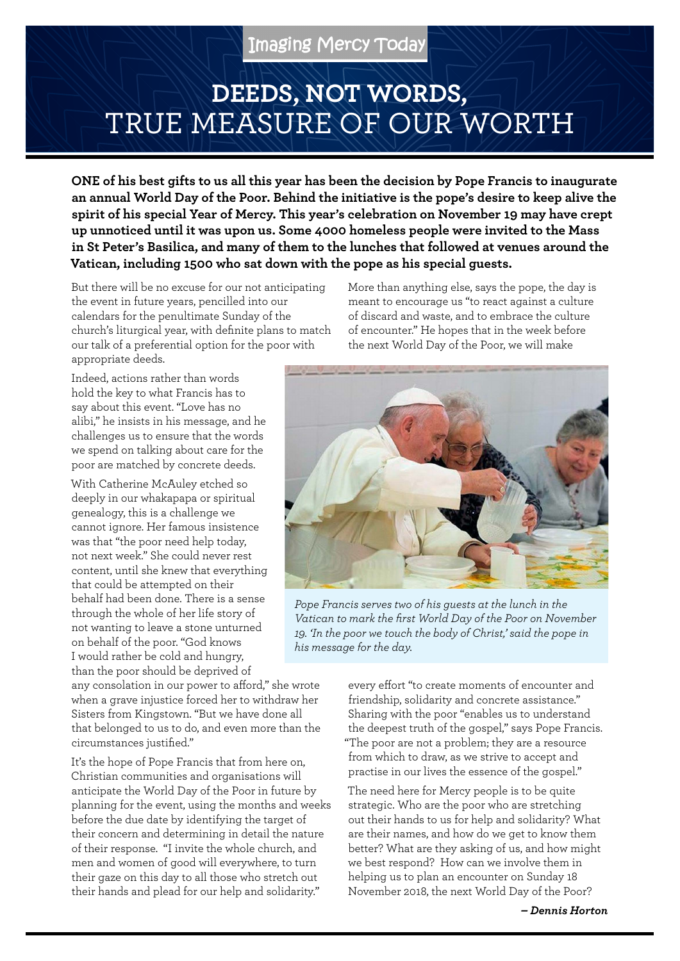## **DEEDS, NOT WORDS,**  TRUE MEASURE OF OUR WORTH

**ONE of his best gifts to us all this year has been the decision by Pope Francis to inaugurate an annual World Day of the Poor. Behind the initiative is the pope's desire to keep alive the spirit of his special Year of Mercy. This year's celebration on November 19 may have crept up unnoticed until it was upon us. Some 4000 homeless people were invited to the Mass in St Peter's Basilica, and many of them to the lunches that followed at venues around the Vatican, including 1500 who sat down with the pope as his special guests.**

But there will be no excuse for our not anticipating the event in future years, pencilled into our calendars for the penultimate Sunday of the church's liturgical year, with definite plans to match our talk of a preferential option for the poor with appropriate deeds.

Indeed, actions rather than words hold the key to what Francis has to say about this event. "Love has no alibi," he insists in his message, and he challenges us to ensure that the words we spend on talking about care for the poor are matched by concrete deeds.

With Catherine McAuley etched so deeply in our whakapapa or spiritual genealogy, this is a challenge we cannot ignore. Her famous insistence was that "the poor need help today, not next week." She could never rest content, until she knew that everything that could be attempted on their behalf had been done. There is a sense through the whole of her life story of not wanting to leave a stone unturned on behalf of the poor. "God knows I would rather be cold and hungry, than the poor should be deprived of

any consolation in our power to afford," she wrote when a grave injustice forced her to withdraw her Sisters from Kingstown. "But we have done all that belonged to us to do, and even more than the circumstances justified."

It's the hope of Pope Francis that from here on, Christian communities and organisations will anticipate the World Day of the Poor in future by planning for the event, using the months and weeks before the due date by identifying the target of their concern and determining in detail the nature of their response. "I invite the whole church, and men and women of good will everywhere, to turn their gaze on this day to all those who stretch out their hands and plead for our help and solidarity."

More than anything else, says the pope, the day is meant to encourage us "to react against a culture of discard and waste, and to embrace the culture of encounter." He hopes that in the week before the next World Day of the Poor, we will make



*Pope Francis serves two of his guests at the lunch in the Vatican to mark the first World Day of the Poor on November 19. 'In the poor we touch the body of Christ,' said the pope in his message for the day.*

every effort "to create moments of encounter and friendship, solidarity and concrete assistance." Sharing with the poor "enables us to understand the deepest truth of the gospel," says Pope Francis. "The poor are not a problem; they are a resource from which to draw, as we strive to accept and practise in our lives the essence of the gospel."

The need here for Mercy people is to be quite strategic. Who are the poor who are stretching out their hands to us for help and solidarity? What are their names, and how do we get to know them better? What are they asking of us, and how might we best respond? How can we involve them in helping us to plan an encounter on Sunday 18 November 2018, the next World Day of the Poor?